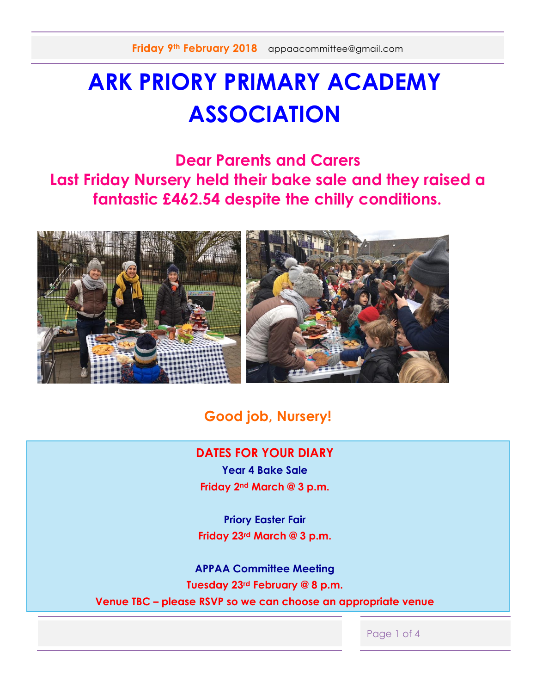## **ARK PRIORY PRIMARY ACADEMY ASSOCIATION**

**Dear Parents and Carers Last Friday Nursery held their bake sale and they raised a fantastic £462.54 despite the chilly conditions.** 



#### **Good job, Nursery!**

#### **DATES FOR YOUR DIARY**

**Year 4 Bake Sale Friday 2nd March @ 3 p.m.**

**Priory Easter Fair Friday 23rd March @ 3 p.m.**

**APPAA Committee Meeting Tuesday 23rd February @ 8 p.m. Venue TBC – please RSVP so we can choose an appropriate venue**

Page 1 of 4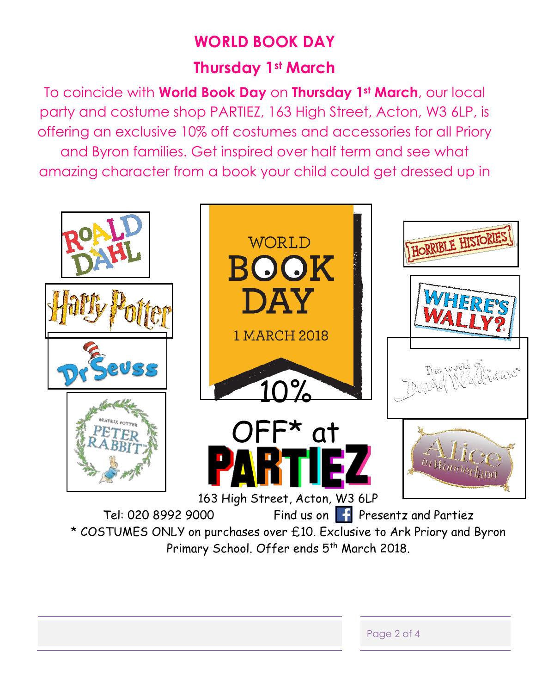### **WORLD BOOK DAY**

### **Thursday 1st March**

To coincide with **World Book Day** on **Thursday 1st March**, our local party and costume shop PARTIEZ, 163 High Street, Acton, W3 6LP, is offering an exclusive 10% off costumes and accessories for all Priory and Byron families. Get inspired over half term and see what amazing character from a book your child could get dressed up in



Primary School. Offer ends 5<sup>th</sup> March 2018.

| Page 2 of 4 |
|-------------|
|             |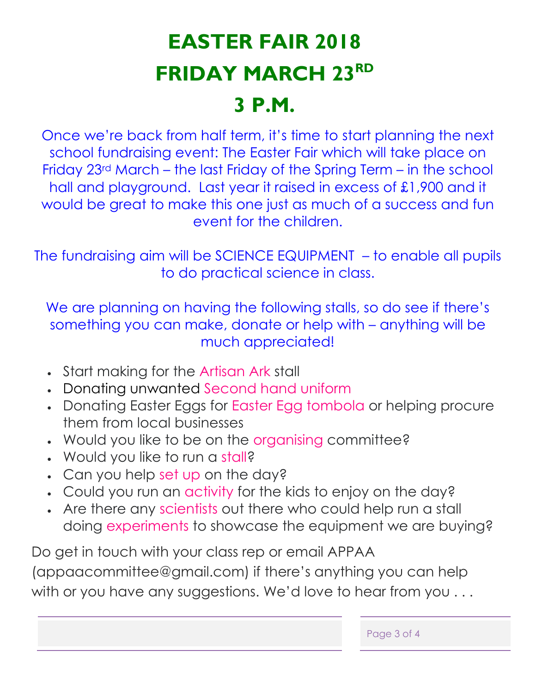# **EASTER FAIR 2018 FRIDAY MARCH 23RD 3 P.M.**

Once we're back from half term, it's time to start planning the next school fundraising event: The Easter Fair which will take place on Friday 23rd March – the last Friday of the Spring Term – in the school hall and playground. Last year it raised in excess of £1,900 and it would be great to make this one just as much of a success and fun event for the children.

The fundraising aim will be SCIENCE EQUIPMENT – to enable all pupils to do practical science in class.

We are planning on having the following stalls, so do see if there's something you can make, donate or help with – anything will be much appreciated!

- Start making for the Artisan Ark stall
- Donating unwanted Second hand uniform
- Donating Easter Eggs for Easter Egg tombola or helping procure them from local businesses
- . Would you like to be on the organising committee?
- Would you like to run a stall?
- Can you help set up on the day?
- Could you run an activity for the kids to enjoy on the day?
- Are there any scientists out there who could help run a stall doing experiments to showcase the equipment we are buying?

Do get in touch with your class rep or email APPAA (appaacommittee@gmail.com) if there's anything you can help with or you have any suggestions. We'd love to hear from you ...

| Page 3 of 4 |  |  |  |
|-------------|--|--|--|
|-------------|--|--|--|